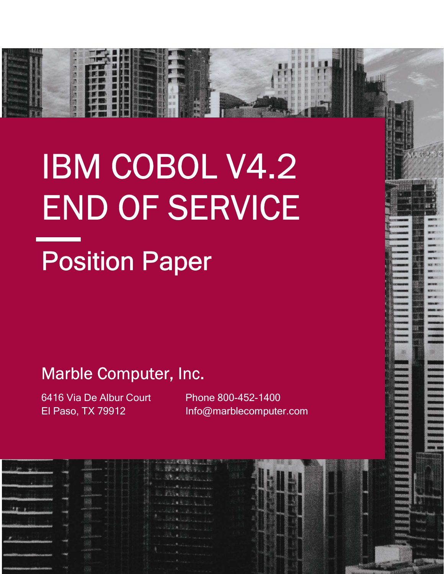# Position Paper IBM COBOL V4.2 END OF SERVICE

# Marble Computer, Inc.

6416 Via De Albur Court El Paso, TX 79912

i.

Phone 800-452-1400 Info@marblecomputer.com

|  | <b>Collective process</b> | ( 新 ) ( ) ( ) ( ) ( ) ( )                                         |  |  |                                   |
|--|---------------------------|-------------------------------------------------------------------|--|--|-----------------------------------|
|  |                           | C. M. A. Britain                                                  |  |  | 3253                              |
|  | <b>CONTACTOR</b>          | Contracto Contractor<br>BARRY S. J.                               |  |  | <b>Side of</b><br><b>Ballyder</b> |
|  |                           | <b>Allen De Sternburg</b>                                         |  |  | 53539                             |
|  | <b>Local Containing</b>   | 10 Sterman La                                                     |  |  | <b>RECEIVE</b><br><b>SECTION</b>  |
|  |                           | And the State Links of the                                        |  |  | <b>DSPVNR93</b><br><b>MIRRARY</b> |
|  |                           | 11 - William William Williams                                     |  |  | <b>TORROW </b>                    |
|  |                           | <b>Continued all all provided</b><br><b>CONSULTANT CONTRACTOR</b> |  |  |                                   |
|  |                           | and community over a                                              |  |  |                                   |
|  |                           |                                                                   |  |  |                                   |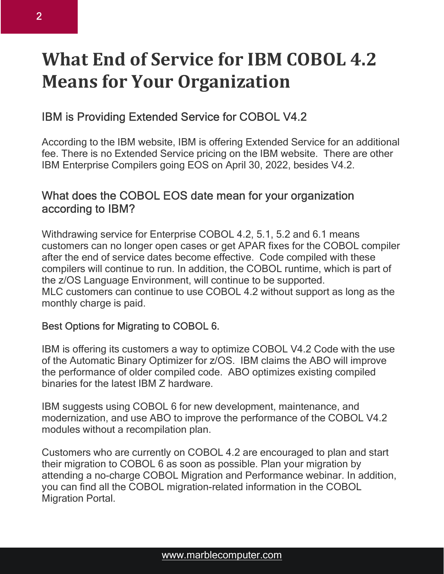# What End of Service for IBM COBOL 4.2 Means for Your Organization

## IBM is Providing Extended Service for COBOL V4.2

According to the IBM website, IBM is offering Extended Service for an additional fee. There is no Extended Service pricing on the IBM website. There are other IBM Enterprise Compilers going EOS on April 30, 2022, besides V4.2.

### What does the COBOL EOS date mean for your organization according to IBM?

Withdrawing service for Enterprise COBOL 4.2, 5.1, 5.2 and 6.1 means customers can no longer open cases or get APAR fixes for the COBOL compiler after the end of service dates become effective. Code compiled with these compilers will continue to run. In addition, the COBOL runtime, which is part of the z/OS Language Environment, will continue to be supported. MLC customers can continue to use COBOL 4.2 without support as long as the monthly charge is paid.

#### Best Options for Migrating to COBOL 6.

IBM is offering its customers a way to optimize COBOL V4.2 Code with the use of the Automatic Binary Optimizer for z/OS. IBM claims the ABO will improve the performance of older compiled code. ABO optimizes existing compiled binaries for the latest IBM Z hardware.

IBM suggests using COBOL 6 for new development, maintenance, and modernization, and use ABO to improve the performance of the COBOL V4.2 modules without a recompilation plan.

Customers who are currently on COBOL 4.2 are encouraged to plan and start their migration to COBOL 6 as soon as possible. Plan your migration by attending a no-charge COBOL Migration and Performance webinar. In addition, you can find all the COBOL migration-related information in the COBOL Migration Portal.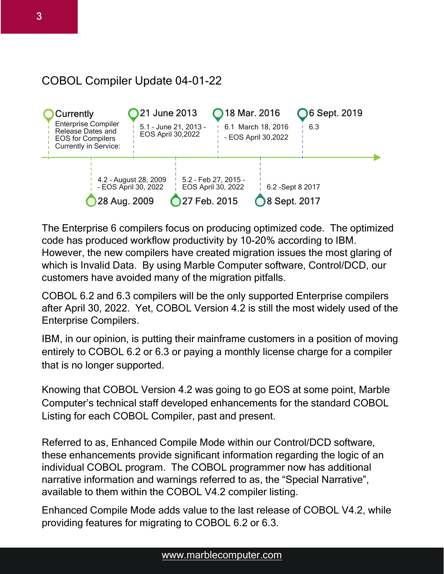## COBOL Compiler Update 04-01-22



The Enterprise 6 compilers focus on producing optimized code. The optimized code has produced workflow productivity by 10-20% according to IBM. However, the new compilers have created migration issues the most glaring of which is Invalid Data. By using Marble Computer software, Control/DCD, our customers have avoided many of the migration pitfalls.

COBOL 6.2 and 6.3 compilers will be the only supported Enterprise compilers after April 30, 2022. Yet, COBOL Version 4.2 is still the most widely used of the Enterprise Compilers.

IBM, in our opinion, is putting their mainframe customers in a position of moving entirely to COBOL 6.2 or 6.3 or paying a monthly license charge for a compiler that is no longer supported.

Knowing that COBOL Version 4.2 was going to go EOS at some point, Marble Computer's technical staff developed enhancements for the standard COBOL Listing for each COBOL Compiler, past and present.

Referred to as, Enhanced Compile Mode within our Control/DCD software, these enhancements provide significant information regarding the logic of an individual COBOL program. The COBOL programmer now has additional narrative information and warnings referred to as, the "Special Narrative", available to them within the COBOL V4.2 compiler listing.

Enhanced Compile Mode adds value to the last release of COBOL V4.2, while providing features for migrating to COBOL 6.2 or 6.3.

#### www.marblecomputer.com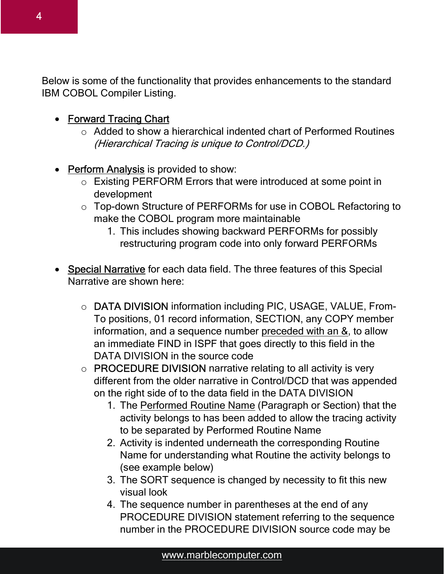Below is some of the functionality that provides enhancements to the standard IBM COBOL Compiler Listing.

- Forward Tracing Chart
	- o Added to show a hierarchical indented chart of Performed Routines (Hierarchical Tracing is unique to Control/DCD.)
- Perform Analysis is provided to show:
	- o Existing PERFORM Errors that were introduced at some point in development
	- o Top-down Structure of PERFORMs for use in COBOL Refactoring to make the COBOL program more maintainable
		- 1. This includes showing backward PERFORMs for possibly restructuring program code into only forward PERFORMs
- Special Narrative for each data field. The three features of this Special Narrative are shown here:
	- o DATA DIVISION information including PIC, USAGE, VALUE, From-To positions, 01 record information, SECTION, any COPY member information, and a sequence number preceded with an &, to allow an immediate FIND in ISPF that goes directly to this field in the DATA DIVISION in the source code
	- o PROCEDURE DIVISION narrative relating to all activity is very different from the older narrative in Control/DCD that was appended on the right side of to the data field in the DATA DIVISION
		- 1. The Performed Routine Name (Paragraph or Section) that the activity belongs to has been added to allow the tracing activity to be separated by Performed Routine Name
		- 2. Activity is indented underneath the corresponding Routine Name for understanding what Routine the activity belongs to (see example below)
		- 3. The SORT sequence is changed by necessity to fit this new visual look
		- 4. The sequence number in parentheses at the end of any PROCEDURE DIVISION statement referring to the sequence number in the PROCEDURE DIVISION source code may be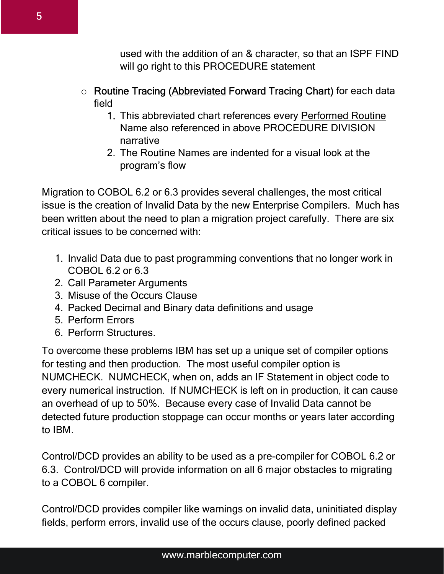used with the addition of an & character, so that an ISPF FIND will go right to this PROCEDURE statement

#### o Routine Tracing (Abbreviated Forward Tracing Chart) for each data field

- 1. This abbreviated chart references every Performed Routine Name also referenced in above PROCEDURE DIVISION narrative
- 2. The Routine Names are indented for a visual look at the program's flow

Migration to COBOL 6.2 or 6.3 provides several challenges, the most critical issue is the creation of Invalid Data by the new Enterprise Compilers. Much has been written about the need to plan a migration project carefully. There are six critical issues to be concerned with:

- 1. Invalid Data due to past programming conventions that no longer work in COBOL 6.2 or 6.3
- 2. Call Parameter Arguments
- 3. Misuse of the Occurs Clause
- 4. Packed Decimal and Binary data definitions and usage
- 5. Perform Errors
- 6. Perform Structures.

To overcome these problems IBM has set up a unique set of compiler options for testing and then production. The most useful compiler option is NUMCHECK. NUMCHECK, when on, adds an IF Statement in object code to every numerical instruction. If NUMCHECK is left on in production, it can cause an overhead of up to 50%. Because every case of Invalid Data cannot be detected future production stoppage can occur months or years later according to IBM.

Control/DCD provides an ability to be used as a pre-compiler for COBOL 6.2 or 6.3. Control/DCD will provide information on all 6 major obstacles to migrating to a COBOL 6 compiler.

Control/DCD provides compiler like warnings on invalid data, uninitiated display fields, perform errors, invalid use of the occurs clause, poorly defined packed

#### www.marblecomputer.com